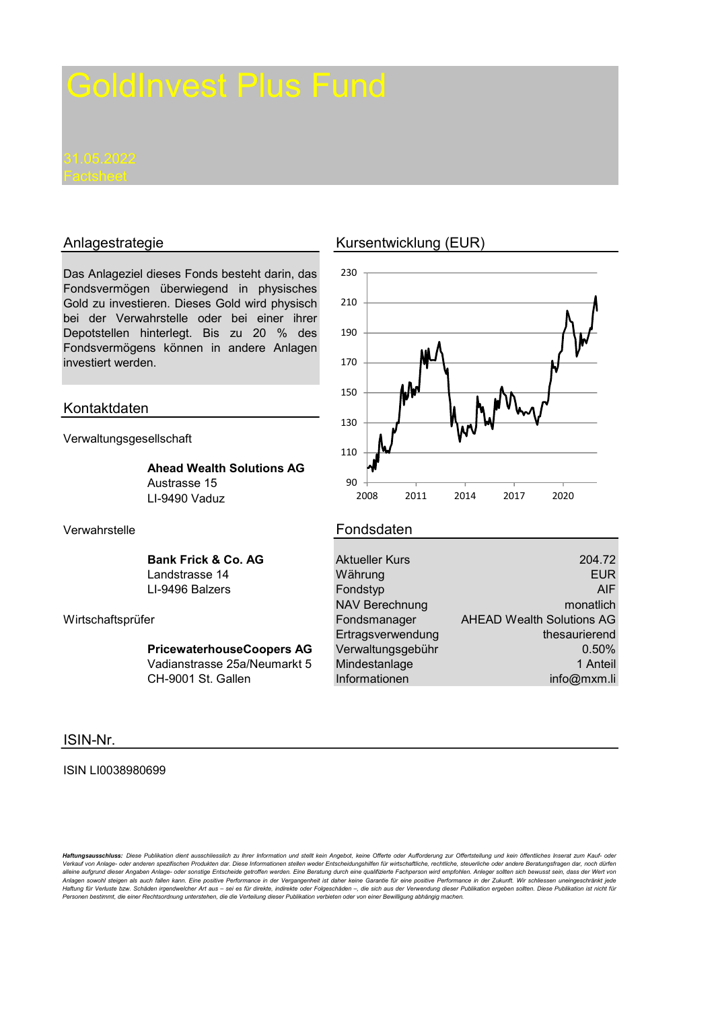Das Anlageziel dieses Fonds besteht darin, das Fondsvermögen überwiegend in physisches Gold zu investieren. Dieses Gold wird physisch bei der Verwahrstelle oder bei einer ihrer Depotstellen hinterlegt. Bis zu 20 % des Fondsvermögens können in andere Anlagen investiert werden.

## Kontaktdaten

Verwaltungsgesellschaft

Ahead Wealth Solutions AG Austrasse 15 LI-9490 Vaduz

Bank Frick & Co. AG Landstrasse 14 LL-9496 Balzers

Wirtschaftsprüfer

PricewaterhouseCoopers AG Vadianstrasse 25a/Neumarkt 5 CH-9001 St. Gallen

# ISIN-Nr.

### ISIN LI0038980699

Haftungsausschluss: Diese Publikation dient ausschliesslich zu Ihrer Information und stellt kein Angebot, keine Offerte oder Aufforderung zur Offertstellung und kein öffentliches Inserat zum Kauf- oder Verkauf von Anlage- oder anderen spezifischen Produkten dar. Diese Informationen stellen weder Entscheidungshilfen für wirtschaftliche, rechtliche, steuerliche oder andere Beratungsfragen dar, noch dürfen<br>alleine aufgrund Anlagen sowohl steigen als auch fallen kann. Eine positive Performance in der Vergangenheit ist daher keine Garantie für eine positive Performance in der Zukunft. Wir schliessen uneingeschränkt jede<br>Haftung für Verluste bz Personen bestimmt, die einer Rechtsordnung unterstehen, die die Verteilung dieser Publikation verbieten oder von einer Bewilligung abhängig machen.

# Anlagestrategie Kursentwicklung (EUR)



### Verwahrstelle **Fondsdaten**

| 204.72                             |
|------------------------------------|
| <b>EUR</b>                         |
| <b>AIF</b>                         |
| <b>NAV Berechnung</b><br>monatlich |
| <b>AHEAD Wealth Solutions AG</b>   |
| thesaurierend<br>Ertragsverwendung |
| Verwaltungsgebühr<br>0.50%         |
| 1 Anteil                           |
| info@mxm.li                        |
|                                    |